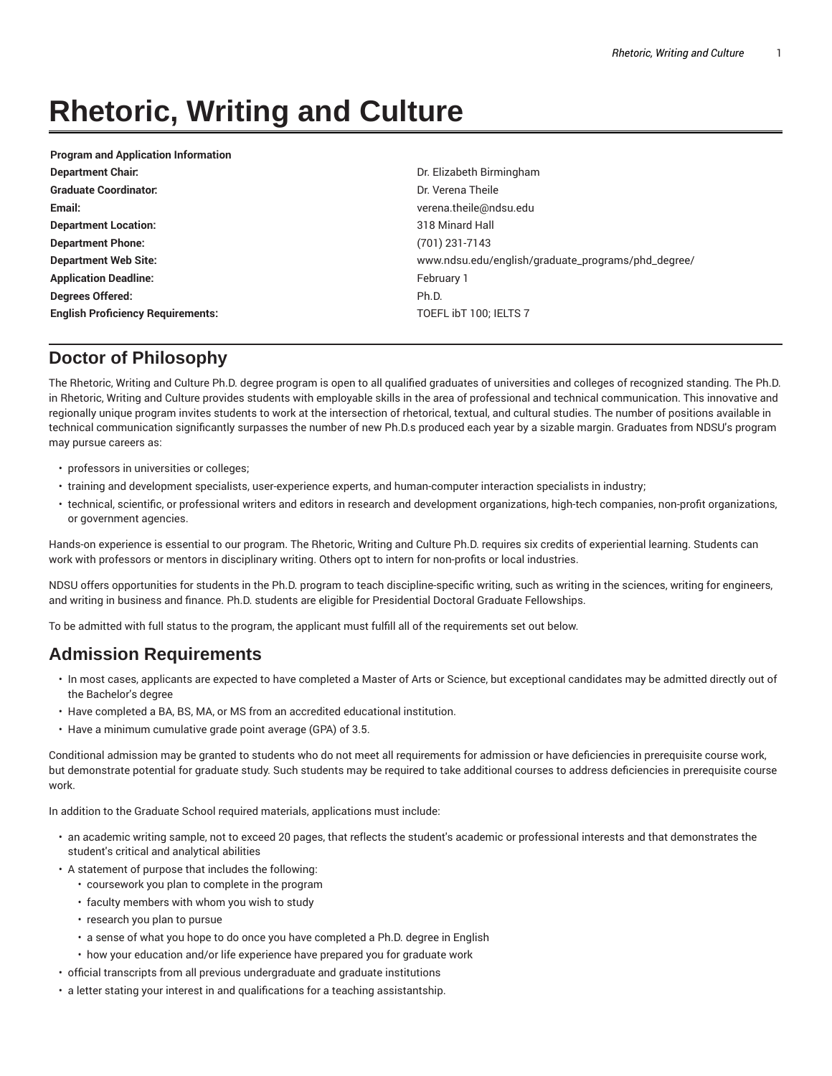# **Rhetoric, Writing and Culture**

| <b>Program and Application Information</b> |                                                    |
|--------------------------------------------|----------------------------------------------------|
| <b>Department Chair.</b>                   | Dr. Elizabeth Birmingham                           |
| <b>Graduate Coordinator:</b>               | Dr. Verena Theile                                  |
| Email:                                     | verena.theile@ndsu.edu                             |
| <b>Department Location:</b>                | 318 Minard Hall                                    |
| <b>Department Phone:</b>                   | $(701)$ 231-7143                                   |
| <b>Department Web Site:</b>                | www.ndsu.edu/english/graduate_programs/phd_degree/ |
| <b>Application Deadline:</b>               | February 1                                         |
| Degrees Offered:                           | Ph.D.                                              |
| <b>English Proficiency Requirements:</b>   | TOEFL IbT 100; IELTS 7                             |
|                                            |                                                    |

## **Doctor of Philosophy**

The Rhetoric, Writing and Culture Ph.D. degree program is open to all qualified graduates of universities and colleges of recognized standing. The Ph.D. in Rhetoric, Writing and Culture provides students with employable skills in the area of professional and technical communication. This innovative and regionally unique program invites students to work at the intersection of rhetorical, textual, and cultural studies. The number of positions available in technical communication significantly surpasses the number of new Ph.D.s produced each year by a sizable margin. Graduates from NDSU's program may pursue careers as:

- professors in universities or colleges;
- training and development specialists, user-experience experts, and human-computer interaction specialists in industry;
- technical, scientific, or professional writers and editors in research and development organizations, high-tech companies, non-profit organizations, or government agencies.

Hands-on experience is essential to our program. The Rhetoric, Writing and Culture Ph.D. requires six credits of experiential learning. Students can work with professors or mentors in disciplinary writing. Others opt to intern for non-profits or local industries.

NDSU offers opportunities for students in the Ph.D. program to teach discipline-specific writing, such as writing in the sciences, writing for engineers, and writing in business and finance. Ph.D. students are eligible for Presidential Doctoral Graduate Fellowships.

To be admitted with full status to the program, the applicant must fulfill all of the requirements set out below.

# **Admission Requirements**

- In most cases, applicants are expected to have completed a Master of Arts or Science, but exceptional candidates may be admitted directly out of the Bachelor's degree
- Have completed a BA, BS, MA, or MS from an accredited educational institution.
- Have a minimum cumulative grade point average (GPA) of 3.5.

Conditional admission may be granted to students who do not meet all requirements for admission or have deficiencies in prerequisite course work, but demonstrate potential for graduate study. Such students may be required to take additional courses to address deficiencies in prerequisite course work.

In addition to the Graduate School required materials, applications must include:

- an academic writing sample, not to exceed 20 pages, that reflects the student's academic or professional interests and that demonstrates the student's critical and analytical abilities
- A statement of purpose that includes the following:
	- coursework you plan to complete in the program
	- faculty members with whom you wish to study
	- research you plan to pursue
	- a sense of what you hope to do once you have completed a Ph.D. degree in English
	- how your education and/or life experience have prepared you for graduate work
- official transcripts from all previous undergraduate and graduate institutions
- a letter stating your interest in and qualifications for a teaching assistantship.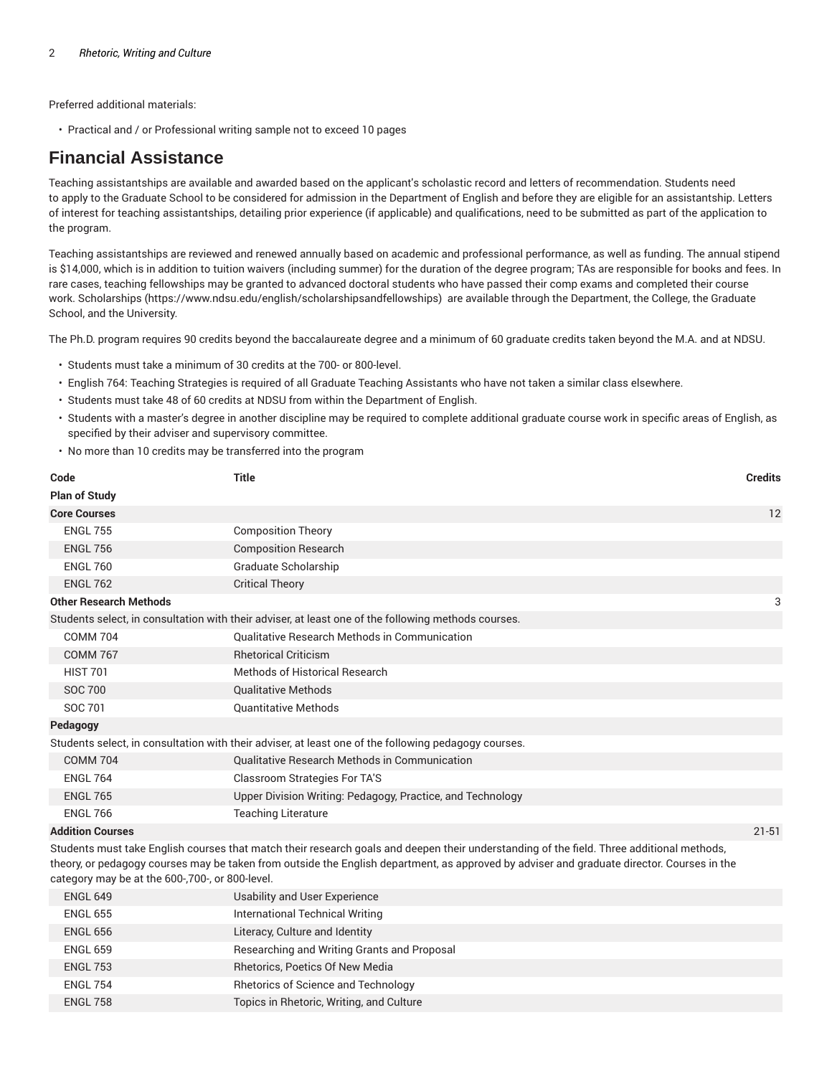Preferred additional materials:

• Practical and / or Professional writing sample not to exceed 10 pages

### **Financial Assistance**

Teaching assistantships are available and awarded based on the applicant's scholastic record and letters of recommendation. Students need to apply to the Graduate School to be considered for admission in the Department of English and before they are eligible for an assistantship. Letters of interest for teaching assistantships, detailing prior experience (if applicable) and qualifications, need to be submitted as part of the application to the program.

Teaching assistantships are reviewed and renewed annually based on academic and professional performance, as well as funding. The annual stipend is \$14,000, which is in addition to tuition waivers (including summer) for the duration of the degree program; TAs are responsible for books and fees. In rare cases, teaching fellowships may be granted to advanced doctoral students who have passed their comp exams and completed their course work. Scholarships (https://www.ndsu.edu/english/scholarshipsandfellowships) are available through the Department, the College, the Graduate School, and the University.

The Ph.D. program requires 90 credits beyond the baccalaureate degree and a minimum of 60 graduate credits taken beyond the M.A. and at NDSU.

- Students must take a minimum of 30 credits at the 700- or 800-level.
- English 764: Teaching Strategies is required of all Graduate Teaching Assistants who have not taken a similar class elsewhere.
- Students must take 48 of 60 credits at NDSU from within the Department of English.
- Students with a master's degree in another discipline may be required to complete additional graduate course work in specific areas of English, as specified by their adviser and supervisory committee.
- No more than 10 credits may be transferred into the program

| Code                                                                                                                                                                                                                                                                                                                                       | <b>Title</b>                                                                                        | <b>Credits</b> |
|--------------------------------------------------------------------------------------------------------------------------------------------------------------------------------------------------------------------------------------------------------------------------------------------------------------------------------------------|-----------------------------------------------------------------------------------------------------|----------------|
| <b>Plan of Study</b>                                                                                                                                                                                                                                                                                                                       |                                                                                                     |                |
| <b>Core Courses</b>                                                                                                                                                                                                                                                                                                                        |                                                                                                     | 12             |
| <b>ENGL 755</b>                                                                                                                                                                                                                                                                                                                            | <b>Composition Theory</b>                                                                           |                |
| <b>ENGL 756</b>                                                                                                                                                                                                                                                                                                                            | <b>Composition Research</b>                                                                         |                |
| <b>ENGL 760</b>                                                                                                                                                                                                                                                                                                                            | Graduate Scholarship                                                                                |                |
| <b>ENGL 762</b>                                                                                                                                                                                                                                                                                                                            | <b>Critical Theory</b>                                                                              |                |
| <b>Other Research Methods</b>                                                                                                                                                                                                                                                                                                              |                                                                                                     | 3              |
|                                                                                                                                                                                                                                                                                                                                            | Students select, in consultation with their adviser, at least one of the following methods courses. |                |
| <b>COMM 704</b>                                                                                                                                                                                                                                                                                                                            | <b>Qualitative Research Methods in Communication</b>                                                |                |
| <b>COMM 767</b>                                                                                                                                                                                                                                                                                                                            | <b>Rhetorical Criticism</b>                                                                         |                |
| <b>HIST 701</b>                                                                                                                                                                                                                                                                                                                            | Methods of Historical Research                                                                      |                |
| <b>SOC 700</b>                                                                                                                                                                                                                                                                                                                             | <b>Qualitative Methods</b>                                                                          |                |
| SOC 701                                                                                                                                                                                                                                                                                                                                    | <b>Quantitative Methods</b>                                                                         |                |
| Pedagogy                                                                                                                                                                                                                                                                                                                                   |                                                                                                     |                |
| Students select, in consultation with their adviser, at least one of the following pedagogy courses.                                                                                                                                                                                                                                       |                                                                                                     |                |
| <b>COMM 704</b>                                                                                                                                                                                                                                                                                                                            | <b>Qualitative Research Methods in Communication</b>                                                |                |
| <b>ENGL 764</b>                                                                                                                                                                                                                                                                                                                            | <b>Classroom Strategies For TA'S</b>                                                                |                |
| <b>ENGL 765</b>                                                                                                                                                                                                                                                                                                                            | Upper Division Writing: Pedagogy, Practice, and Technology                                          |                |
| <b>ENGL 766</b>                                                                                                                                                                                                                                                                                                                            | <b>Teaching Literature</b>                                                                          |                |
| <b>Addition Courses</b>                                                                                                                                                                                                                                                                                                                    |                                                                                                     | $21 - 51$      |
| Students must take English courses that match their research goals and deepen their understanding of the field. Three additional methods,<br>theory, or pedagogy courses may be taken from outside the English department, as approved by adviser and graduate director. Courses in the<br>category may be at the 600-,700-, or 800-level. |                                                                                                     |                |
| <b>ENGL 649</b>                                                                                                                                                                                                                                                                                                                            | Usability and User Experience                                                                       |                |

| ENGL 649        | Usability and User Experience               |
|-----------------|---------------------------------------------|
| <b>ENGL 655</b> | International Technical Writing             |
| ENGL 656        | Literacy, Culture and Identity              |
| <b>ENGL 659</b> | Researching and Writing Grants and Proposal |
| <b>ENGL 753</b> | Rhetorics, Poetics Of New Media             |
| <b>ENGL 754</b> | <b>Rhetorics of Science and Technology</b>  |
| <b>ENGL 758</b> | Topics in Rhetoric, Writing, and Culture    |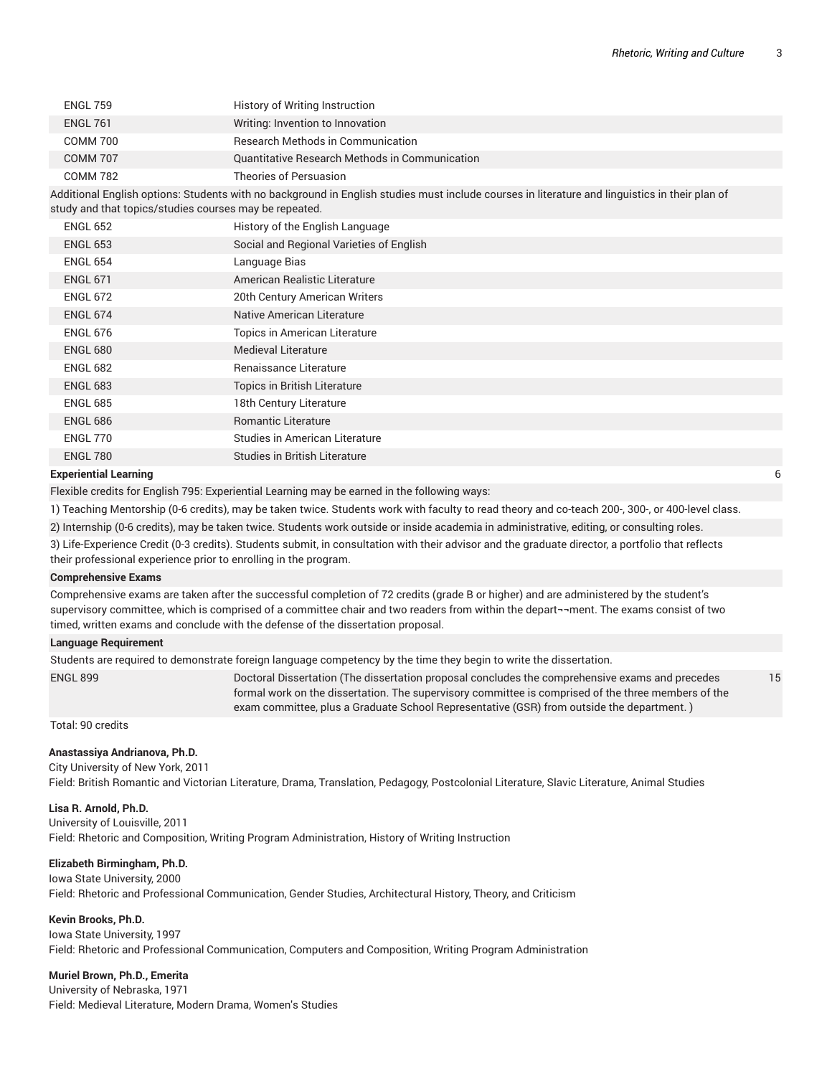15

| <b>ENGL 759</b> | History of Writing Instruction                 |
|-----------------|------------------------------------------------|
| <b>ENGL 761</b> | Writing: Invention to Innovation               |
| COMM 700        | Research Methods in Communication              |
| <b>COMM 707</b> | Quantitative Research Methods in Communication |
| <b>COMM 782</b> | Theories of Persuasion                         |
|                 |                                                |

Additional English options: Students with no background in English studies must include courses in literature and linguistics in their plan of study and that topics/studies courses may be repeated.

| <b>ENGL 652</b>         | History of the English Language          |
|-------------------------|------------------------------------------|
| <b>ENGL 653</b>         | Social and Regional Varieties of English |
| <b>ENGL 654</b>         | Language Bias                            |
| <b>ENGL 671</b>         | American Realistic Literature            |
| <b>ENGL 672</b>         | 20th Century American Writers            |
| <b>ENGL 674</b>         | Native American Literature               |
| <b>ENGL 676</b>         | Topics in American Literature            |
| <b>ENGL 680</b>         | <b>Medieval Literature</b>               |
| <b>ENGL 682</b>         | Renaissance Literature                   |
| <b>ENGL 683</b>         | Topics in British Literature             |
| <b>ENGL 685</b>         | 18th Century Literature                  |
| <b>ENGL 686</b>         | <b>Romantic Literature</b>               |
| ENGL 770                | Studies in American Literature           |
| ENGL 780                | Studies in British Literature            |
| المستحصر والمتعبد فيحصب |                                          |

#### **Experiential Learning**

Flexible credits for English 795: Experiential Learning may be earned in the following ways:

1) Teaching Mentorship (0-6 credits), may be taken twice. Students work with faculty to read theory and co-teach 200-, 300-, or 400-level class.

2) Internship (0-6 credits), may be taken twice. Students work outside or inside academia in administrative, editing, or consulting roles.

- 3) Life-Experience Credit (0-3 credits). Students submit, in consultation with their advisor and the graduate director, a portfolio that reflects
- their professional experience prior to enrolling in the program.

#### **Comprehensive Exams**

Comprehensive exams are taken after the successful completion of 72 credits (grade B or higher) and are administered by the student's supervisory committee, which is comprised of a committee chair and two readers from within the depart¬¬ment. The exams consist of two timed, written exams and conclude with the defense of the dissertation proposal.

#### **Language Requirement**

Students are required to demonstrate foreign language competency by the time they begin to write the dissertation. ENGL 899 Doctoral Dissertation (The dissertation proposal concludes the comprehensive exams and precedes

formal work on the dissertation. The supervisory committee is comprised of the three members of the exam committee, plus a Graduate School Representative (GSR) from outside the department. )

Total: 90 credits

#### **Anastassiya Andrianova, Ph.D.**

City University of New York, 2011 Field: British Romantic and Victorian Literature, Drama, Translation, Pedagogy, Postcolonial Literature, Slavic Literature, Animal Studies

#### **Lisa R. Arnold, Ph.D.**

University of Louisville, 2011

Field: Rhetoric and Composition, Writing Program Administration, History of Writing Instruction

#### **Elizabeth Birmingham, Ph.D.**

Iowa State University, 2000 Field: Rhetoric and Professional Communication, Gender Studies, Architectural History, Theory, and Criticism

#### **Kevin Brooks, Ph.D.**

Iowa State University, 1997 Field: Rhetoric and Professional Communication, Computers and Composition, Writing Program Administration

#### **Muriel Brown, Ph.D., Emerita**

University of Nebraska, 1971 Field: Medieval Literature, Modern Drama, Women's Studies